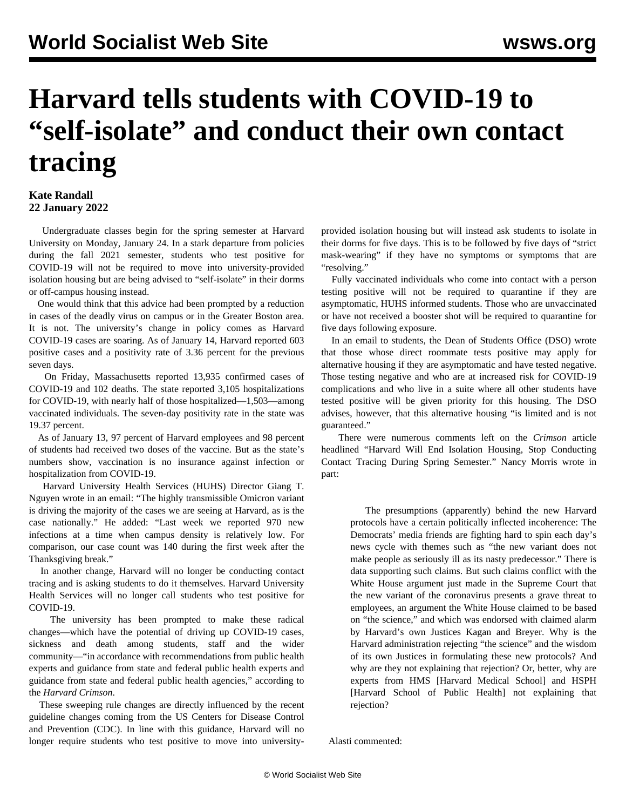## **Harvard tells students with COVID-19 to "self-isolate" and conduct their own contact tracing**

## **Kate Randall 22 January 2022**

 Undergraduate classes begin for the spring semester at Harvard University on Monday, January 24. In a stark departure from policies during the fall 2021 semester, students who test positive for COVID-19 will not be required to move into university-provided isolation housing but are being advised to "self-isolate" in their dorms or off-campus housing instead.

 One would think that this advice had been prompted by a reduction in cases of the deadly virus on campus or in the Greater Boston area. It is not. The university's change in policy comes as Harvard COVID-19 cases are soaring. As of January 14, Harvard reported 603 positive cases and a positivity rate of 3.36 percent for the previous seven days.

 On Friday, Massachusetts reported 13,935 confirmed cases of COVID-19 and 102 deaths. The state reported 3,105 hospitalizations for COVID-19, with nearly half of those hospitalized—1,503—among vaccinated individuals. The seven-day positivity rate in the state was 19.37 percent.

 As of January 13, 97 percent of Harvard employees and 98 percent of students had received two doses of the vaccine. But as the state's numbers show, vaccination is no insurance against infection or hospitalization from COVID-19.

 Harvard University Health Services (HUHS) Director Giang T. Nguyen wrote in an email: "The highly transmissible Omicron variant is driving the majority of the cases we are seeing at Harvard, as is the case nationally." He added: "Last week we reported 970 new infections at a time when campus density is relatively low. For comparison, our case count was 140 during the first week after the Thanksgiving break."

 In another change, Harvard will no longer be conducting contact tracing and is asking students to do it themselves. Harvard University Health Services will no longer call students who test positive for COVID-19.

 The university has been prompted to make these radical changes—which have the potential of driving up COVID-19 cases, sickness and death among students, staff and the wider community—"in accordance with recommendations from public health experts and guidance from state and federal public health experts and guidance from state and federal public health agencies," according to the *Harvard Crimson*.

 These sweeping rule changes are directly influenced by the recent guideline changes coming from the US Centers for Disease Control and Prevention (CDC). In line with this guidance, Harvard will no longer require students who test positive to move into universityprovided isolation housing but will instead ask students to isolate in their dorms for five days. This is to be followed by five days of "strict mask-wearing" if they have no symptoms or symptoms that are "resolving."

 Fully vaccinated individuals who come into contact with a person testing positive will not be required to quarantine if they are asymptomatic, HUHS informed students. Those who are unvaccinated or have not received a booster shot will be required to quarantine for five days following exposure.

 In an email to students, the Dean of Students Office (DSO) wrote that those whose direct roommate tests positive may apply for alternative housing if they are asymptomatic and have tested negative. Those testing negative and who are at increased risk for COVID-19 complications and who live in a suite where all other students have tested positive will be given priority for this housing. The DSO advises, however, that this alternative housing "is limited and is not guaranteed."

 There were numerous comments left on the *Crimson* article headlined "[Harvard Will End Isolation Housing, Stop Conducting](https://www.thecrimson.com/article/2022/1/14/spring-2022-covid-policy-changes/) [Contact Tracing During Spring Semester.](https://www.thecrimson.com/article/2022/1/14/spring-2022-covid-policy-changes/)" Nancy Morris wrote in part:

> The presumptions (apparently) behind the new Harvard protocols have a certain politically inflected incoherence: The Democrats' media friends are fighting hard to spin each day's news cycle with themes such as "the new variant does not make people as seriously ill as its nasty predecessor." There is data supporting such claims. But such claims conflict with the White House argument just made in the Supreme Court that the new variant of the coronavirus presents a grave threat to employees, an argument the White House claimed to be based on "the science," and which was endorsed with claimed alarm by Harvard's own Justices Kagan and Breyer. Why is the Harvard administration rejecting "the science" and the wisdom of its own Justices in formulating these new protocols? And why are they not explaining that rejection? Or, better, why are experts from HMS [Harvard Medical School] and HSPH [Harvard School of Public Health] not explaining that rejection?

Alasti commented: